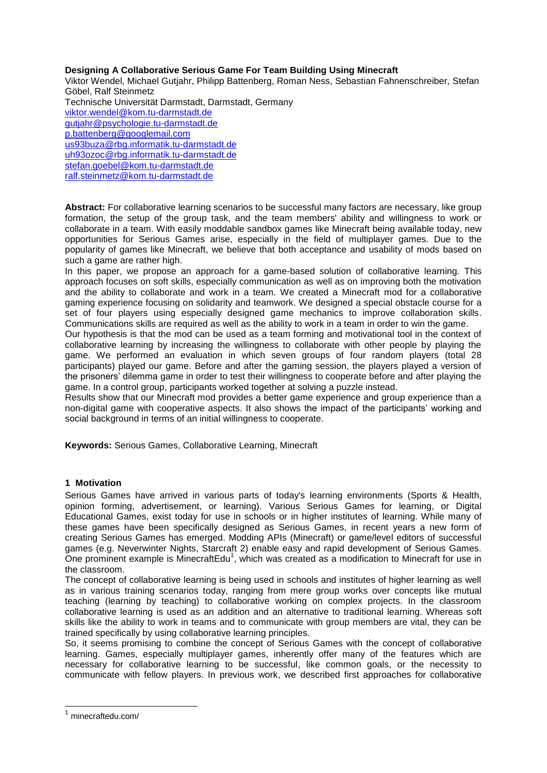# **Designing A Collaborative Serious Game For Team Building Using Minecraft**

Viktor Wendel, Michael Gutjahr, Philipp Battenberg, Roman Ness, Sebastian Fahnenschreiber, Stefan Göbel, Ralf Steinmetz Technische Universität Darmstadt, Darmstadt, Germany [viktor.wendel@kom.tu-darmstadt.de](mailto:viktor.wendel@kom.tu-darmstadt.de) [gutjahr@psychologie.tu-darmstadt.de](mailto:gutjahr@psychologie.tu-darmstadt.de) [p.battenberg@googlemail.com](mailto:p.battenberg@googlemail.com) [us93buza@rbg.informatik.tu-darmstadt.de](mailto:us93buza@rbg.informatik.tu-darmstadt.de) [uh93ozoc@rbg.informatik.tu-darmstadt.de](mailto:uh93ozoc@rbg.informatik.tu-darmstadt.de) [stefan.goebel@kom.tu-darmstadt.de](mailto:stefan.goebel@kom.tu-darmstadt.de) [ralf.steinmetz@kom.tu-darmstadt.de](mailto:ralf.steinmetz@kom.tu-darmstadt.de)

**Abstract:** For collaborative learning scenarios to be successful many factors are necessary, like group formation, the setup of the group task, and the team members' ability and willingness to work or collaborate in a team. With easily moddable sandbox games like Minecraft being available today, new opportunities for Serious Games arise, especially in the field of multiplayer games. Due to the popularity of games like Minecraft, we believe that both acceptance and usability of mods based on such a game are rather high.

In this paper, we propose an approach for a game-based solution of collaborative learning. This approach focuses on soft skills, especially communication as well as on improving both the motivation and the ability to collaborate and work in a team. We created a Minecraft mod for a collaborative gaming experience focusing on solidarity and teamwork. We designed a special obstacle course for a set of four players using especially designed game mechanics to improve collaboration skills. Communications skills are required as well as the ability to work in a team in order to win the game.

Our hypothesis is that the mod can be used as a team forming and motivational tool in the context of collaborative learning by increasing the willingness to collaborate with other people by playing the game. We performed an evaluation in which seven groups of four random players (total 28 participants) played our game. Before and after the gaming session, the players played a version of the prisoners' dilemma game in order to test their willingness to cooperate before and after playing the game. In a control group, participants worked together at solving a puzzle instead.

Results show that our Minecraft mod provides a better game experience and group experience than a non-digital game with cooperative aspects. It also shows the impact of the participants' working and social background in terms of an initial willingness to cooperate.

**Keywords:** Serious Games, Collaborative Learning, Minecraft

# **1 Motivation**

Serious Games have arrived in various parts of today's learning environments (Sports & Health, opinion forming, advertisement, or learning). Various Serious Games for learning, or Digital Educational Games, exist today for use in schools or in higher institutes of learning. While many of these games have been specifically designed as Serious Games, in recent years a new form of creating Serious Games has emerged. Modding APIs (Minecraft) or game/level editors of successful games (e.g. Neverwinter Nights, Starcraft 2) enable easy and rapid development of Serious Games. One prominent example is MinecraftEdu<sup>1</sup>, which was created as a modification to Minecraft for use in the classroom.

The concept of collaborative learning is being used in schools and institutes of higher learning as well as in various training scenarios today, ranging from mere group works over concepts like mutual teaching (learning by teaching) to collaborative working on complex projects. In the classroom collaborative learning is used as an addition and an alternative to traditional learning. Whereas soft skills like the ability to work in teams and to communicate with group members are vital, they can be trained specifically by using collaborative learning principles.

So, it seems promising to combine the concept of Serious Games with the concept of collaborative learning. Games, especially multiplayer games, inherently offer many of the features which are necessary for collaborative learning to be successful, like common goals, or the necessity to communicate with fellow players. In previous work, we described first approaches for collaborative

1

<sup>1</sup> minecraftedu.com/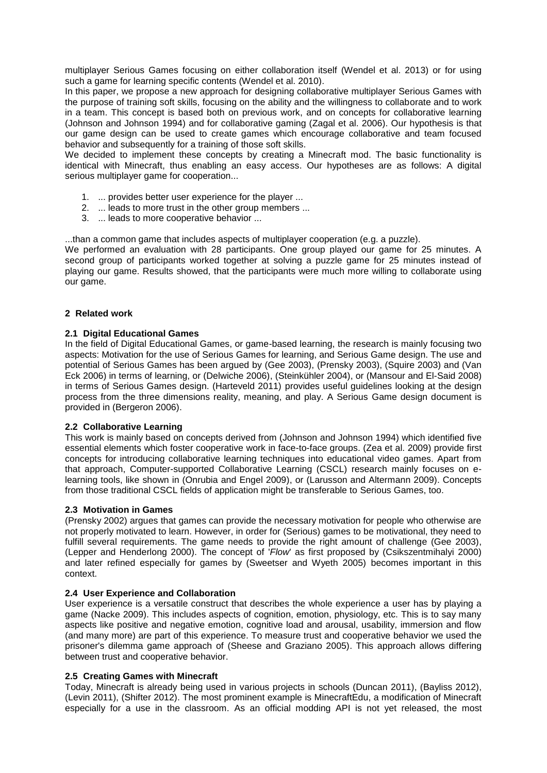multiplayer Serious Games focusing on either collaboration itself (Wendel et al. 2013) or for using such a game for learning specific contents (Wendel et al. 2010).

In this paper, we propose a new approach for designing collaborative multiplayer Serious Games with the purpose of training soft skills, focusing on the ability and the willingness to collaborate and to work in a team. This concept is based both on previous work, and on concepts for collaborative learning (Johnson and Johnson 1994) and for collaborative gaming (Zagal et al. 2006). Our hypothesis is that our game design can be used to create games which encourage collaborative and team focused behavior and subsequently for a training of those soft skills.

We decided to implement these concepts by creating a Minecraft mod. The basic functionality is identical with Minecraft, thus enabling an easy access. Our hypotheses are as follows: A digital serious multiplayer game for cooperation...

- 1. ... provides better user experience for the player ...
- 2. ... leads to more trust in the other group members ...
- 3. ... leads to more cooperative behavior ...

...than a common game that includes aspects of multiplayer cooperation (e.g. a puzzle).

We performed an evaluation with 28 participants. One group played our game for 25 minutes. A second group of participants worked together at solving a puzzle game for 25 minutes instead of playing our game. Results showed, that the participants were much more willing to collaborate using our game.

## **2 Related work**

## **2.1 Digital Educational Games**

In the field of Digital Educational Games, or game-based learning, the research is mainly focusing two aspects: Motivation for the use of Serious Games for learning, and Serious Game design. The use and potential of Serious Games has been argued by (Gee 2003), (Prensky 2003), (Squire 2003) and (Van Eck 2006) in terms of learning, or (Delwiche 2006), (Steinkühler 2004), or (Mansour and El-Said 2008) in terms of Serious Games design. (Harteveld 2011) provides useful guidelines looking at the design process from the three dimensions reality, meaning, and play. A Serious Game design document is provided in (Bergeron 2006).

## **2.2 Collaborative Learning**

This work is mainly based on concepts derived from (Johnson and Johnson 1994) which identified five essential elements which foster cooperative work in face-to-face groups. (Zea et al. 2009) provide first concepts for introducing collaborative learning techniques into educational video games. Apart from that approach, Computer-supported Collaborative Learning (CSCL) research mainly focuses on elearning tools, like shown in (Onrubia and Engel 2009), or (Larusson and Altermann 2009). Concepts from those traditional CSCL fields of application might be transferable to Serious Games, too.

## **2.3 Motivation in Games**

(Prensky 2002) argues that games can provide the necessary motivation for people who otherwise are not properly motivated to learn. However, in order for (Serious) games to be motivational, they need to fulfill several requirements. The game needs to provide the right amount of challenge (Gee 2003), (Lepper and Henderlong 2000). The concept of '*Flow*' as first proposed by (Csikszentmihalyi 2000) and later refined especially for games by (Sweetser and Wyeth 2005) becomes important in this context.

## **2.4 User Experience and Collaboration**

User experience is a versatile construct that describes the whole experience a user has by playing a game (Nacke 2009). This includes aspects of cognition, emotion, physiology, etc. This is to say many aspects like positive and negative emotion, cognitive load and arousal, usability, immersion and flow (and many more) are part of this experience. To measure trust and cooperative behavior we used the prisoner's dilemma game approach of (Sheese and Graziano 2005). This approach allows differing between trust and cooperative behavior.

## **2.5 Creating Games with Minecraft**

Today, Minecraft is already being used in various projects in schools (Duncan 2011), (Bayliss 2012), (Levin 2011), (Shifter 2012). The most prominent example is MinecraftEdu, a modification of Minecraft especially for a use in the classroom. As an official modding API is not yet released, the most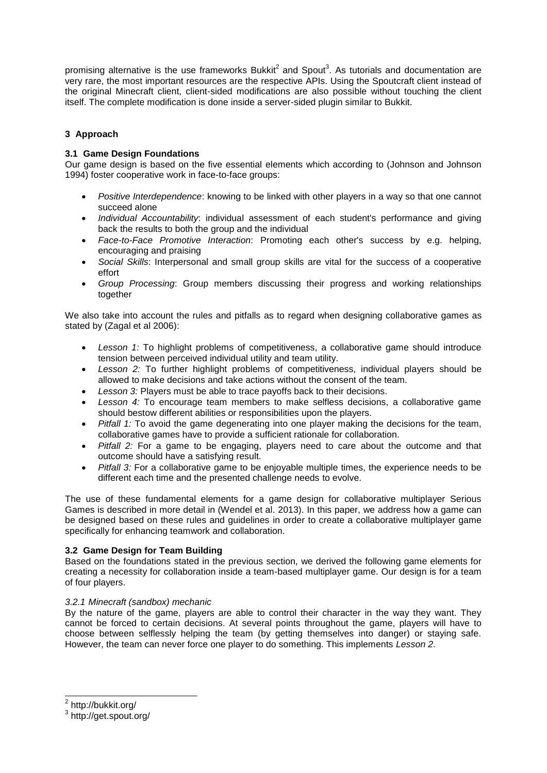promising alternative is the use frameworks Bukkit<sup>2</sup> and Spout<sup>3</sup>. As tutorials and documentation are very rare, the most important resources are the respective APIs. Using the Spoutcraft client instead of the original Minecraft client, client-sided modifications are also possible without touching the client itself. The complete modification is done inside a server-sided plugin similar to Bukkit.

# **3 Approach**

# **3.1 Game Design Foundations**

Our game design is based on the five essential elements which according to (Johnson and Johnson 1994) foster cooperative work in face-to-face groups:

- *Positive Interdependence*: knowing to be linked with other players in a way so that one cannot succeed alone
- *Individual Accountability*: individual assessment of each student's performance and giving back the results to both the group and the individual
- *Face-to-Face Promotive Interaction*: Promoting each other's success by e.g. helping, encouraging and praising
- *Social Skills*: Interpersonal and small group skills are vital for the success of a cooperative effort
- *Group Processing*: Group members discussing their progress and working relationships together

We also take into account the rules and pitfalls as to regard when designing collaborative games as stated by (Zagal et al 2006):

- Lesson 1: To highlight problems of competitiveness, a collaborative game should introduce tension between perceived individual utility and team utility.
- *Lesson 2:* To further highlight problems of competitiveness, individual players should be allowed to make decisions and take actions without the consent of the team.
- *Lesson 3:* Players must be able to trace payoffs back to their decisions.
- *Lesson 4:* To encourage team members to make selfless decisions, a collaborative game should bestow different abilities or responsibilities upon the players.
- *Pitfall 1:* To avoid the game degenerating into one player making the decisions for the team, collaborative games have to provide a sufficient rationale for collaboration.
- *Pitfall 2:* For a game to be engaging, players need to care about the outcome and that outcome should have a satisfying result.
- *Pitfall 3:* For a collaborative game to be enjoyable multiple times, the experience needs to be different each time and the presented challenge needs to evolve.

The use of these fundamental elements for a game design for collaborative multiplayer Serious Games is described in more detail in (Wendel et al. 2013). In this paper, we address how a game can be designed based on these rules and guidelines in order to create a collaborative multiplayer game specifically for enhancing teamwork and collaboration.

# **3.2 Game Design for Team Building**

Based on the foundations stated in the previous section, we derived the following game elements for creating a necessity for collaboration inside a team-based multiplayer game. Our design is for a team of four players.

# *3.2.1 Minecraft (sandbox) mechanic*

By the nature of the game, players are able to control their character in the way they want. They cannot be forced to certain decisions. At several points throughout the game, players will have to choose between selflessly helping the team (by getting themselves into danger) or staying safe. However, the team can never force one player to do something. This implements *Lesson 2*.

2 http://bukkit.org/

<sup>3</sup> http://get.spout.org/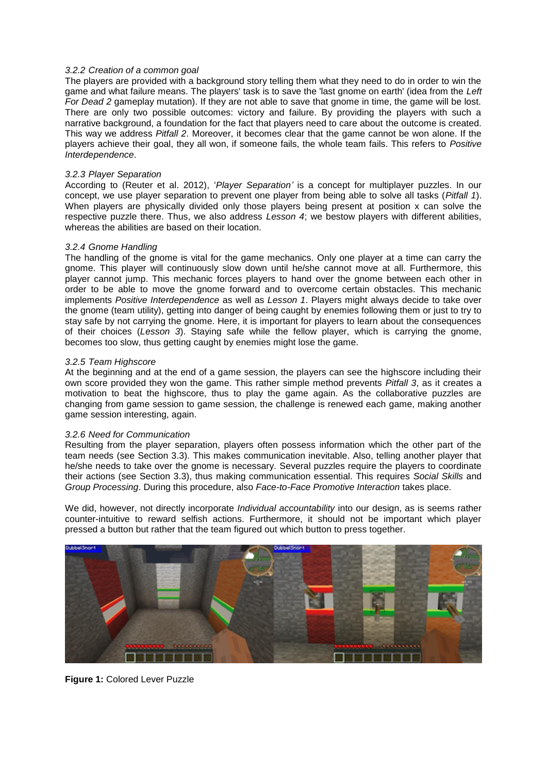#### *3.2.2 Creation of a common goal*

The players are provided with a background story telling them what they need to do in order to win the game and what failure means. The players' task is to save the 'last gnome on earth' (idea from the *Left For Dead 2* gameplay mutation). If they are not able to save that gnome in time, the game will be lost. There are only two possible outcomes: victory and failure. By providing the players with such a narrative background, a foundation for the fact that players need to care about the outcome is created. This way we address *Pitfall 2*. Moreover, it becomes clear that the game cannot be won alone. If the players achieve their goal, they all won, if someone fails, the whole team fails. This refers to *Positive Interdependence*.

#### *3.2.3 Player Separation*

According to (Reuter et al. 2012), '*Player Separation'* is a concept for multiplayer puzzles. In our concept, we use player separation to prevent one player from being able to solve all tasks (*Pitfall 1*). When players are physically divided only those players being present at position x can solve the respective puzzle there. Thus, we also address *Lesson 4*; we bestow players with different abilities, whereas the abilities are based on their location.

#### *3.2.4 Gnome Handling*

The handling of the gnome is vital for the game mechanics. Only one player at a time can carry the gnome. This player will continuously slow down until he/she cannot move at all. Furthermore, this player cannot jump. This mechanic forces players to hand over the gnome between each other in order to be able to move the gnome forward and to overcome certain obstacles. This mechanic implements *Positive Interdependence* as well as *Lesson 1*. Players might always decide to take over the gnome (team utility), getting into danger of being caught by enemies following them or just to try to stay safe by not carrying the gnome. Here, it is important for players to learn about the consequences of their choices (*Lesson 3*). Staying safe while the fellow player, which is carrying the gnome, becomes too slow, thus getting caught by enemies might lose the game.

#### *3.2.5 Team Highscore*

At the beginning and at the end of a game session, the players can see the highscore including their own score provided they won the game. This rather simple method prevents *Pitfall 3*, as it creates a motivation to beat the highscore, thus to play the game again. As the collaborative puzzles are changing from game session to game session, the challenge is renewed each game, making another game session interesting, again.

#### *3.2.6 Need for Communication*

Resulting from the player separation, players often possess information which the other part of the team needs (see Section 3.3). This makes communication inevitable. Also, telling another player that he/she needs to take over the gnome is necessary. Several puzzles require the players to coordinate their actions (see Section 3.3), thus making communication essential. This requires *Social Skills* and *Group Processing*. During this procedure, also *Face-to-Face Promotive Interaction* takes place.

We did, however, not directly incorporate *Individual accountability* into our design, as is seems rather counter-intuitive to reward selfish actions. Furthermore, it should not be important which player pressed a button but rather that the team figured out which button to press together.



**Figure 1:** Colored Lever Puzzle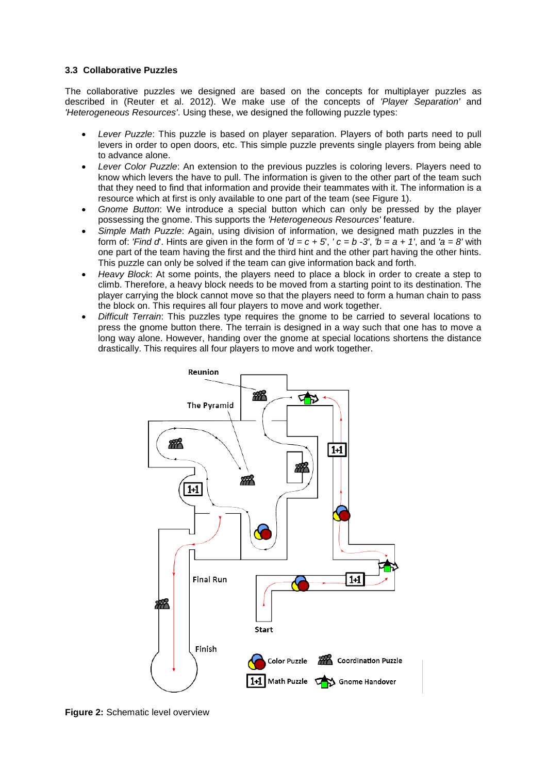## **3.3 Collaborative Puzzles**

The collaborative puzzles we designed are based on the concepts for multiplayer puzzles as described in (Reuter et al. 2012). We make use of the concepts of *'Player Separation'* and *'Heterogeneous Resources'*. Using these, we designed the following puzzle types:

- *Lever Puzzle*: This puzzle is based on player separation. Players of both parts need to pull levers in order to open doors, etc. This simple puzzle prevents single players from being able to advance alone.
- *Lever Color Puzzle*: An extension to the previous puzzles is coloring levers. Players need to know which levers the have to pull. The information is given to the other part of the team such that they need to find that information and provide their teammates with it. The information is a resource which at first is only available to one part of the team (see Figure 1).
- *Gnome Button*: We introduce a special button which can only be pressed by the player possessing the gnome. This supports the *'Heterogeneous Resources'* feature.
- *Simple Math Puzzle*: Again, using division of information, we designed math puzzles in the form of: *'Find d*'. Hints are given in the form of  $'d = c + 5$ ,  $'c = b - 3'$ ,  $'b = a + 1'$ , and  $'a = 8'$  with one part of the team having the first and the third hint and the other part having the other hints. This puzzle can only be solved if the team can give information back and forth.
- *Heavy Block*: At some points, the players need to place a block in order to create a step to climb. Therefore, a heavy block needs to be moved from a starting point to its destination. The player carrying the block cannot move so that the players need to form a human chain to pass the block on. This requires all four players to move and work together.
- *Difficult Terrain*: This puzzles type requires the gnome to be carried to several locations to press the gnome button there. The terrain is designed in a way such that one has to move a long way alone. However, handing over the gnome at special locations shortens the distance drastically. This requires all four players to move and work together.



**Figure 2:** Schematic level overview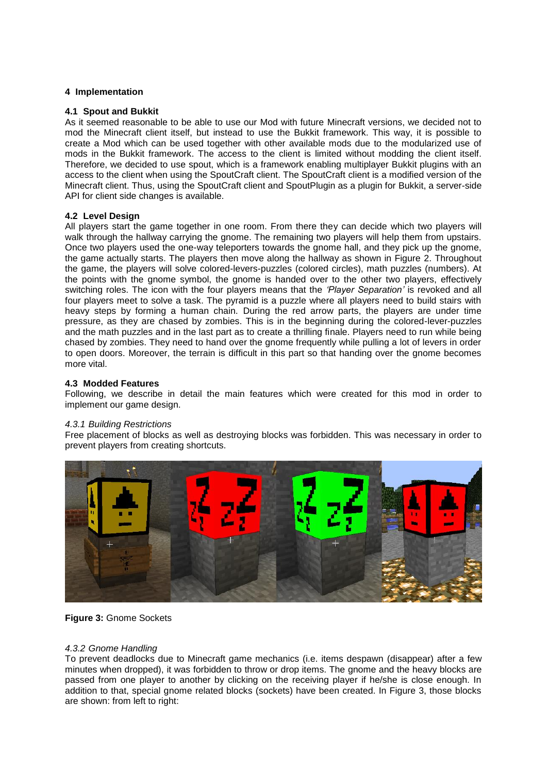## **4 Implementation**

## **4.1 Spout and Bukkit**

As it seemed reasonable to be able to use our Mod with future Minecraft versions, we decided not to mod the Minecraft client itself, but instead to use the Bukkit framework. This way, it is possible to create a Mod which can be used together with other available mods due to the modularized use of mods in the Bukkit framework. The access to the client is limited without modding the client itself. Therefore, we decided to use spout, which is a framework enabling multiplayer Bukkit plugins with an access to the client when using the SpoutCraft client. The SpoutCraft client is a modified version of the Minecraft client. Thus, using the SpoutCraft client and SpoutPlugin as a plugin for Bukkit, a server-side API for client side changes is available.

## **4.2 Level Design**

All players start the game together in one room. From there they can decide which two players will walk through the hallway carrying the gnome. The remaining two players will help them from upstairs. Once two players used the one-way teleporters towards the gnome hall, and they pick up the gnome, the game actually starts. The players then move along the hallway as shown in Figure 2. Throughout the game, the players will solve colored-levers-puzzles (colored circles), math puzzles (numbers). At the points with the gnome symbol, the gnome is handed over to the other two players, effectively switching roles. The icon with the four players means that the *'Player Separation'* is revoked and all four players meet to solve a task. The pyramid is a puzzle where all players need to build stairs with heavy steps by forming a human chain. During the red arrow parts, the players are under time pressure, as they are chased by zombies. This is in the beginning during the colored-lever-puzzles and the math puzzles and in the last part as to create a thrilling finale. Players need to run while being chased by zombies. They need to hand over the gnome frequently while pulling a lot of levers in order to open doors. Moreover, the terrain is difficult in this part so that handing over the gnome becomes more vital.

## **4.3 Modded Features**

Following, we describe in detail the main features which were created for this mod in order to implement our game design.

## *4.3.1 Building Restrictions*

Free placement of blocks as well as destroying blocks was forbidden. This was necessary in order to prevent players from creating shortcuts.



**Figure 3:** Gnome Sockets

## *4.3.2 Gnome Handling*

To prevent deadlocks due to Minecraft game mechanics (i.e. items despawn (disappear) after a few minutes when dropped), it was forbidden to throw or drop items. The gnome and the heavy blocks are passed from one player to another by clicking on the receiving player if he/she is close enough. In addition to that, special gnome related blocks (sockets) have been created. In Figure 3, those blocks are shown: from left to right: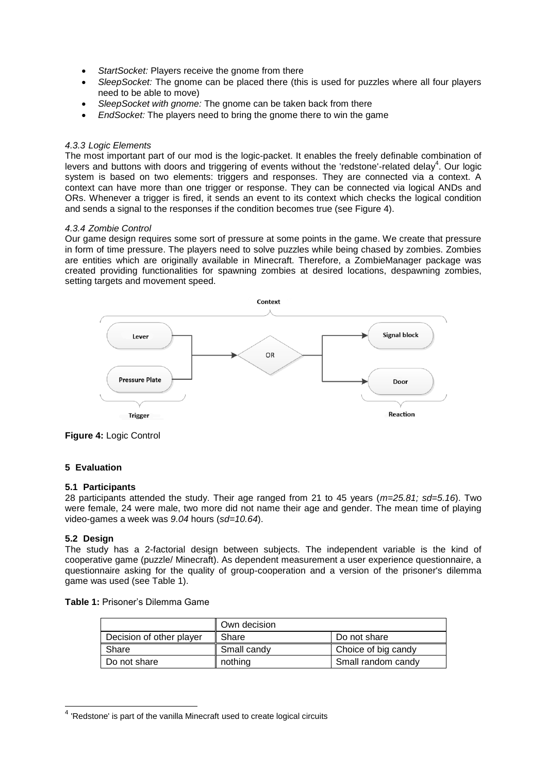- *StartSocket:* Players receive the gnome from there
- *SleepSocket:* The gnome can be placed there (this is used for puzzles where all four players need to be able to move)
- *SleepSocket with gnome:* The gnome can be taken back from there
- *EndSocket:* The players need to bring the gnome there to win the game

## *4.3.3 Logic Elements*

The most important part of our mod is the logic-packet. It enables the freely definable combination of levers and buttons with doors and triggering of events without the 'redstone'-related delay<sup>4</sup>. Our logic system is based on two elements: triggers and responses. They are connected via a context. A context can have more than one trigger or response. They can be connected via logical ANDs and ORs. Whenever a trigger is fired, it sends an event to its context which checks the logical condition and sends a signal to the responses if the condition becomes true (see Figure 4).

## *4.3.4 Zombie Control*

Our game design requires some sort of pressure at some points in the game. We create that pressure in form of time pressure. The players need to solve puzzles while being chased by zombies. Zombies are entities which are originally available in Minecraft. Therefore, a ZombieManager package was created providing functionalities for spawning zombies at desired locations, despawning zombies, setting targets and movement speed.



**Figure 4:** Logic Control

# **5 Evaluation**

## **5.1 Participants**

28 participants attended the study. Their age ranged from 21 to 45 years (*m=25.81; sd=5.16*). Two were female, 24 were male, two more did not name their age and gender. The mean time of playing video-games a week was *9.04* hours (*sd=10.64*).

# **5.2 Design**

The study has a 2-factorial design between subjects. The independent variable is the kind of cooperative game (puzzle/ Minecraft). As dependent measurement a user experience questionnaire, a questionnaire asking for the quality of group-cooperation and a version of the prisoner's dilemma game was used (see Table 1).

**Table 1:** Prisoner's Dilemma Game

|                          | Own decision |                     |
|--------------------------|--------------|---------------------|
| Decision of other player | Share        | Do not share        |
| Share                    | Small candy  | Choice of big candy |
| Do not share             | nothing      | Small random candy  |

 4 'Redstone' is part of the vanilla Minecraft used to create logical circuits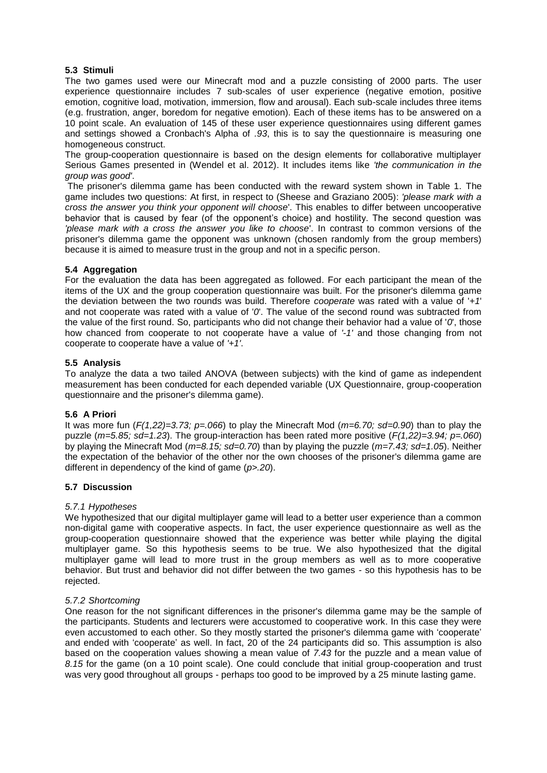# **5.3 Stimuli**

The two games used were our Minecraft mod and a puzzle consisting of 2000 parts. The user experience questionnaire includes 7 sub-scales of user experience (negative emotion, positive emotion, cognitive load, motivation, immersion, flow and arousal). Each sub-scale includes three items (e.g. frustration, anger, boredom for negative emotion). Each of these items has to be answered on a 10 point scale. An evaluation of 145 of these user experience questionnaires using different games and settings showed a Cronbach's Alpha of *.93*, this is to say the questionnaire is measuring one homogeneous construct.

The group-cooperation questionnaire is based on the design elements for collaborative multiplayer Serious Games presented in (Wendel et al. 2012). It includes items like *'the communication in the group was good'*.

The prisoner's dilemma game has been conducted with the reward system shown in Table 1. The game includes two questions: At first, in respect to (Sheese and Graziano 2005): *'please mark with a cross the answer you think your opponent will choose*'. This enables to differ between uncooperative behavior that is caused by fear (of the opponent's choice) and hostility. The second question was *'please mark with a cross the answer you like to choose*'. In contrast to common versions of the prisoner's dilemma game the opponent was unknown (chosen randomly from the group members) because it is aimed to measure trust in the group and not in a specific person.

## **5.4 Aggregation**

For the evaluation the data has been aggregated as followed. For each participant the mean of the items of the UX and the group cooperation questionnaire was built. For the prisoner's dilemma game the deviation between the two rounds was build. Therefore *cooperate* was rated with a value of '*+1*' and not cooperate was rated with a value of '*0*'. The value of the second round was subtracted from the value of the first round. So, participants who did not change their behavior had a value of '*0*', those how chanced from cooperate to not cooperate have a value of *'-1'* and those changing from not cooperate to cooperate have a value of *'+1'*.

## **5.5 Analysis**

To analyze the data a two tailed ANOVA (between subjects) with the kind of game as independent measurement has been conducted for each depended variable (UX Questionnaire, group-cooperation questionnaire and the prisoner's dilemma game).

## **5.6 A Priori**

It was more fun (*F(1,22)=3.73; p=.066*) to play the Minecraft Mod (*m=6.70; sd=0.90*) than to play the puzzle (*m=5.85; sd=1.23*). The group-interaction has been rated more positive (*F(1,22)=3.94; p=.060*) by playing the Minecraft Mod (*m=8.15; sd=0.70*) than by playing the puzzle (*m=7.43; sd=1.05*). Neither the expectation of the behavior of the other nor the own chooses of the prisoner's dilemma game are different in dependency of the kind of game (*p>.20*).

# **5.7 Discussion**

## *5.7.1 Hypotheses*

We hypothesized that our digital multiplayer game will lead to a better user experience than a common non-digital game with cooperative aspects. In fact, the user experience questionnaire as well as the group-cooperation questionnaire showed that the experience was better while playing the digital multiplayer game. So this hypothesis seems to be true. We also hypothesized that the digital multiplayer game will lead to more trust in the group members as well as to more cooperative behavior. But trust and behavior did not differ between the two games - so this hypothesis has to be rejected.

## *5.7.2 Shortcoming*

One reason for the not significant differences in the prisoner's dilemma game may be the sample of the participants. Students and lecturers were accustomed to cooperative work. In this case they were even accustomed to each other. So they mostly started the prisoner's dilemma game with 'cooperate' and ended with 'cooperate' as well. In fact, 20 of the 24 participants did so. This assumption is also based on the cooperation values showing a mean value of *7.43* for the puzzle and a mean value of *8.15* for the game (on a 10 point scale). One could conclude that initial group-cooperation and trust was very good throughout all groups - perhaps too good to be improved by a 25 minute lasting game.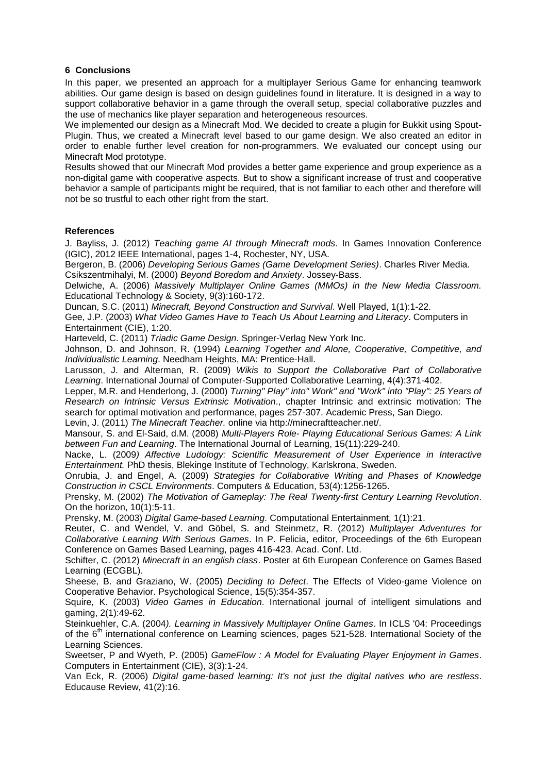## **6 Conclusions**

In this paper, we presented an approach for a multiplayer Serious Game for enhancing teamwork abilities. Our game design is based on design guidelines found in literature. It is designed in a way to support collaborative behavior in a game through the overall setup, special collaborative puzzles and the use of mechanics like player separation and heterogeneous resources.

We implemented our design as a Minecraft Mod. We decided to create a plugin for Bukkit using Spout-Plugin. Thus, we created a Minecraft level based to our game design. We also created an editor in order to enable further level creation for non-programmers. We evaluated our concept using our Minecraft Mod prototype.

Results showed that our Minecraft Mod provides a better game experience and group experience as a non-digital game with cooperative aspects. But to show a significant increase of trust and cooperative behavior a sample of participants might be required, that is not familiar to each other and therefore will not be so trustful to each other right from the start.

## **References**

J. Bayliss, J. (2012) *Teaching game AI through Minecraft mods*. In Games Innovation Conference (IGIC), 2012 IEEE International, pages 1-4, Rochester, NY, USA.

Bergeron, B. (2006) *Developing Serious Games (Game Development Series)*. Charles River Media. Csikszentmihalyi, M. (2000) *Beyond Boredom and Anxiety*. Jossey-Bass.

Delwiche, A. (2006) *Massively Multiplayer Online Games (MMOs) in the New Media Classroom.* Educational Technology & Society, 9(3):160-172.

Duncan, S.C. (2011) *Minecraft, Beyond Construction and Survival*. Well Played, 1(1):1-22.

Gee, J.P. (2003) *What Video Games Have to Teach Us About Learning and Literacy*. Computers in Entertainment (CIE), 1:20.

Harteveld, C. (2011) *Triadic Game Design*. Springer-Verlag New York Inc.

Johnson, D. and Johnson, R. (1994) *Learning Together and Alone, Cooperative, Competitive, and Individualistic Learning*. Needham Heights, MA: Prentice-Hall.

Larusson, J. and Alterman, R. (2009) *Wikis to Support the Collaborative Part of Collaborative Learning*. International Journal of Computer-Supported Collaborative Learning, 4(4):371-402.

Lepper, M.R. and Henderlong, J. (2000) *Turning" Play" into" Work" and "Work" into "Play": 25 Years of Research on Intrinsic Versus Extrinsic Motivation*., chapter Intrinsic and extrinsic motivation: The search for optimal motivation and performance, pages 257-307. Academic Press, San Diego.

Levin, J. (2011) *The Minecraft Teacher.* online via http://minecraftteacher.net/.

Mansour, S. and El-Said, d.M. (2008) *Multi-Players Role- Playing Educational Serious Games: A Link between Fun and Learning*. The International Journal of Learning, 15(11):229-240.

Nacke, L. (2009*) Affective Ludology: Scientific Measurement of User Experience in Interactive Entertainment.* PhD thesis, Blekinge Institute of Technology, Karlskrona, Sweden.

Onrubia, J. and Engel, A. (2009) *Strategies for Collaborative Writing and Phases of Knowledge Construction in CSCL Environments*. Computers & Education, 53(4):1256-1265.

Prensky, M. (2002) *The Motivation of Gameplay: The Real Twenty-first Century Learning Revolution*. On the horizon, 10(1):5-11.

Prensky, M. (2003) *Digital Game-based Learning*. Computational Entertainment, 1(1):21.

Reuter, C. and Wendel, V. and Göbel, S. and Steinmetz, R. (2012) *Multiplayer Adventures for Collaborative Learning With Serious Games*. In P. Felicia, editor, Proceedings of the 6th European Conference on Games Based Learning, pages 416-423. Acad. Conf. Ltd.

Schifter, C. (2012) *Minecraft in an english class*. Poster at 6th European Conference on Games Based Learning (ECGBL).

Sheese, B. and Graziano, W. (2005) *Deciding to Defect*. The Effects of Video-game Violence on Cooperative Behavior. Psychological Science, 15(5):354-357.

Squire, K. (2003) *Video Games in Education*. International journal of intelligent simulations and gaming, 2(1):49-62.

Steinkuehler, C.A. (2004*). Learning in Massively Multiplayer Online Games*. In ICLS '04: Proceedings of the 6<sup>th</sup> international conference on Learning sciences, pages 521-528. International Society of the Learning Sciences.

Sweetser, P and Wyeth, P. (2005) *GameFlow : A Model for Evaluating Player Enjoyment in Games*. Computers in Entertainment (CIE), 3(3):1-24.

Van Eck, R. (2006) *Digital game-based learning: It's not just the digital natives who are restless*. Educause Review, 41(2):16.